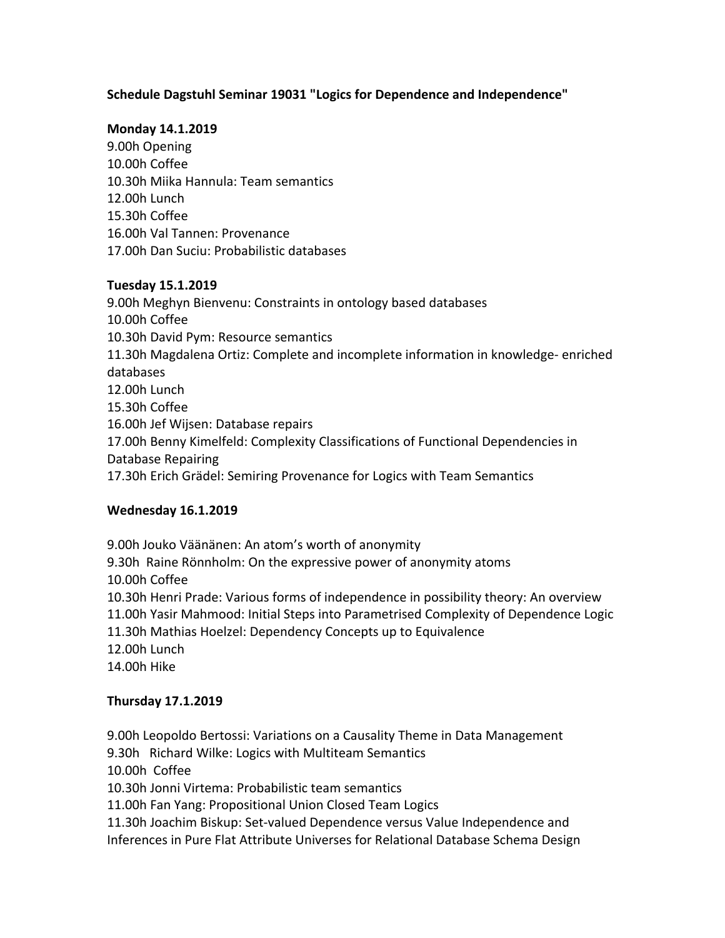# Schedule Dagstuhl Seminar 19031 "Logics for Dependence and Independence"

### **Monday 14.1.2019**

9.00h Opening 10.00h Coffee 10.30h Miika Hannula: Team semantics 12.00h Lunch 15.30h Coffee 16.00h Val Tannen: Provenance 17.00h Dan Suciu: Probabilistic databases 

### **Tuesday 15.1.2019**

9.00h Meghyn Bienvenu: Constraints in ontology based databases 10.00h Coffee 10.30h David Pym: Resource semantics 11.30h Magdalena Ortiz: Complete and incomplete information in knowledge- enriched databases 12.00h Lunch 15.30h Coffee 16.00h Jef Wijsen: Database repairs 17.00h Benny Kimelfeld: Complexity Classifications of Functional Dependencies in Database Repairing 17.30h Erich Grädel: Semiring Provenance for Logics with Team Semantics

### **Wednesday 16.1.2019**

9.00h Jouko Väänänen: An atom's worth of anonymity 9.30h Raine Rönnholm: On the expressive power of anonymity atoms 10.00h Coffee 10.30h Henri Prade: Various forms of independence in possibility theory: An overview 11.00h Yasir Mahmood: Initial Steps into Parametrised Complexity of Dependence Logic 11.30h Mathias Hoelzel: Dependency Concepts up to Equivalence 12.00h Lunch 14.00h Hike

# **Thursday 17.1.2019**

9.00h Leopoldo Bertossi: Variations on a Causality Theme in Data Management

9.30h Richard Wilke: Logics with Multiteam Semantics

10.00h Coffee

10.30h Jonni Virtema: Probabilistic team semantics

11.00h Fan Yang: Propositional Union Closed Team Logics

11.30h Joachim Biskup: Set-valued Dependence versus Value Independence and Inferences in Pure Flat Attribute Universes for Relational Database Schema Design